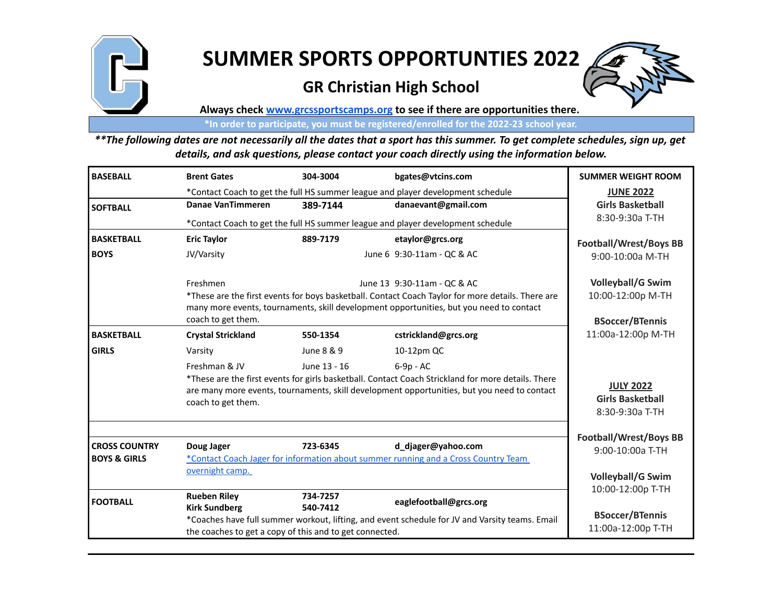

## **SUMMER SPORTS OPPORTUNTIES 2022**

## **GR Christian High School**



**Always check www.grcssportscamps.org to see if there are opportunities there.** 

**\*In order to participate, you must be registered/enrolled for the 2022-23 school year.**

*\*\*The following dates are not necessarily all the dates that a sport has this summer. To get complete schedules, sign up, get details, and ask questions, please contact your coach directly using the information below.*

| <b>BASEBALL</b>         | <b>Brent Gates</b>                                                                                                                                                                                                      | 304-3004                                                       | bgates@vtcins.com                                                                  | <b>SUMMER WEIGHT ROOM</b>                         |
|-------------------------|-------------------------------------------------------------------------------------------------------------------------------------------------------------------------------------------------------------------------|----------------------------------------------------------------|------------------------------------------------------------------------------------|---------------------------------------------------|
|                         | *Contact Coach to get the full HS summer league and player development schedule                                                                                                                                         | <b>JUNE 2022</b>                                               |                                                                                    |                                                   |
| <b>SOFTBALL</b>         | Danae VanTimmeren                                                                                                                                                                                                       | 389-7144                                                       | danaevant@gmail.com                                                                | <b>Girls Basketball</b>                           |
|                         | *Contact Coach to get the full HS summer league and player development schedule                                                                                                                                         |                                                                |                                                                                    | 8:30-9:30a T-TH                                   |
| <b>BASKETBALL</b>       | <b>Eric Taylor</b>                                                                                                                                                                                                      | 889-7179                                                       | etaylor@grcs.org                                                                   | Football/Wrest/Boys BB                            |
| <b>BOYS</b>             | JV/Varsity                                                                                                                                                                                                              |                                                                | June 6 9:30-11am - QC & AC                                                         | 9:00-10:00a M-TH                                  |
|                         | Freshmen                                                                                                                                                                                                                |                                                                | June 13 9:30-11am - QC & AC                                                        | <b>Volleyball/G Swim</b>                          |
|                         | *These are the first events for boys basketball. Contact Coach Taylor for more details. There are<br>many more events, tournaments, skill development opportunities, but you need to contact                            | 10:00-12:00p M-TH                                              |                                                                                    |                                                   |
|                         | coach to get them.                                                                                                                                                                                                      | <b>BSoccer/BTennis</b>                                         |                                                                                    |                                                   |
| <b>BASKETBALL</b>       | <b>Crystal Strickland</b>                                                                                                                                                                                               | 550-1354                                                       | cstrickland@grcs.org                                                               | 11:00a-12:00p M-TH                                |
| <b>GIRLS</b>            | Varsity                                                                                                                                                                                                                 | June 8 & 9                                                     | 10-12pm QC                                                                         |                                                   |
|                         | Freshman & JV                                                                                                                                                                                                           | June 13 - 16                                                   | $6-9p - AC$                                                                        |                                                   |
|                         | *These are the first events for girls basketball. Contact Coach Strickland for more details. There<br>are many more events, tournaments, skill development opportunities, but you need to contact<br>coach to get them. | <b>JULY 2022</b><br><b>Girls Basketball</b><br>8:30-9:30a T-TH |                                                                                    |                                                   |
| <b>CROSS COUNTRY</b>    | Doug Jager                                                                                                                                                                                                              | 723-6345                                                       | d_djager@yahoo.com                                                                 | <b>Football/Wrest/Boys BB</b><br>9:00-10:00a T-TH |
| <b>BOYS &amp; GIRLS</b> |                                                                                                                                                                                                                         |                                                                | *Contact Coach Jager for information about summer running and a Cross Country Team |                                                   |
|                         | overnight camp.                                                                                                                                                                                                         |                                                                |                                                                                    | <b>Volleyball/G Swim</b>                          |
| <b>FOOTBALL</b>         | <b>Rueben Riley</b><br><b>Kirk Sundberg</b>                                                                                                                                                                             | 734-7257<br>540-7412                                           | eaglefootball@grcs.org                                                             | 10:00-12:00p T-TH                                 |
|                         | *Coaches have full summer workout, lifting, and event schedule for JV and Varsity teams. Email<br>the coaches to get a copy of this and to get connected.                                                               |                                                                |                                                                                    | <b>BSoccer/BTennis</b><br>11:00a-12:00p T-TH      |